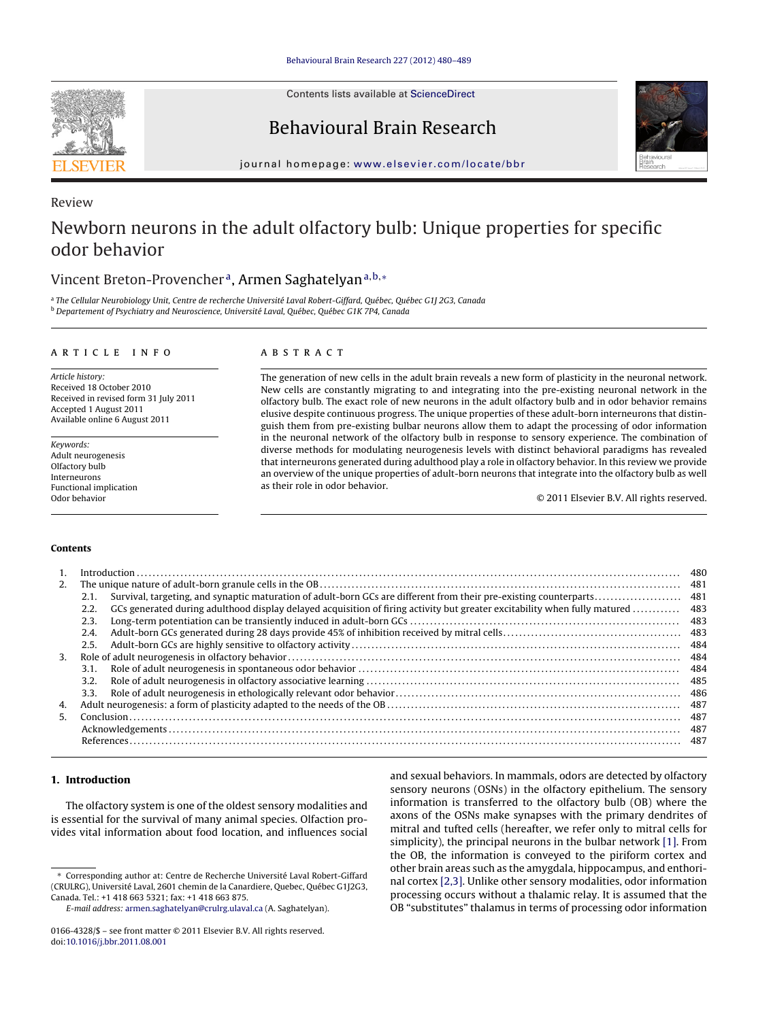Review

Contents lists available at [ScienceDirect](http://www.sciencedirect.com/science/journal/01664328)

Behavioural Brain Research



journal homepage: [www.elsevier.com/locate/bbr](http://www.elsevier.com/locate/bbr)

# Newborn neurons in the adult olfactory bulb: Unique properties for specific odor behavior

# Vincent Breton-Provencher<sup>a</sup>, Armen Saghatelyan<sup>a,b,∗</sup>

<sup>a</sup> The Cellular Neurobiology Unit, Centre de recherche Université Laval Robert-Giffard, Québec, Québec G1J 2G3, Canada <sup>b</sup> Departement of Psychiatry and Neuroscience, Université Laval, Québec, Québec G1K 7P4, Canada

#### article info

Article history: Received 18 October 2010 Received in revised form 31 July 2011 Accepted 1 August 2011 Available online 6 August 2011

Keywords: Adult neurogenesis Olfactory bulb Interneurons Functional implication Odor behavior

#### **ABSTRACT**

The generation of new cells in the adult brain reveals a new form of plasticity in the neuronal network. New cells are constantly migrating to and integrating into the pre-existing neuronal network in the olfactory bulb. The exact role of new neurons in the adult olfactory bulb and in odor behavior remains elusive despite continuous progress. The unique properties of these adult-born interneurons that distinguish them from pre-existing bulbar neurons allow them to adapt the processing of odor information in the neuronal network of the olfactory bulb in response to sensory experience. The combination of diverse methods for modulating neurogenesis levels with distinct behavioral paradigms has revealed that interneurons generated during adulthood play a role in olfactory behavior. In this review we provide an overview of the unique properties of adult-born neurons that integrate into the olfactory bulb as well as their role in odor behavior.

© 2011 Elsevier B.V. All rights reserved.

#### **Contents**

| 1. |                                                                                                                                   | 480   |
|----|-----------------------------------------------------------------------------------------------------------------------------------|-------|
| 2. |                                                                                                                                   | 481   |
|    | Survival, targeting, and synaptic maturation of adult-born GCs are different from their pre-existing counterparts<br>2.1.         | 481   |
|    | GCs generated during adulthood display delayed acquisition of firing activity but greater excitability when fully matured<br>2.2. | 483   |
|    | 2.3.                                                                                                                              | 483   |
|    | 2.4.                                                                                                                              | - 483 |
|    | 2.5.                                                                                                                              | 484   |
| 3. |                                                                                                                                   | 484   |
|    | 3.1.                                                                                                                              | 484   |
|    | 3.2.                                                                                                                              | -485  |
|    | 3.3.                                                                                                                              | 486   |
| 4. |                                                                                                                                   | - 487 |
| 5. |                                                                                                                                   | 487   |
|    |                                                                                                                                   | 487   |
|    |                                                                                                                                   |       |

#### **1. Introduction**

The olfactory system is one of the oldest sensory modalities and is essential for the survival of many animal species. Olfaction provides vital information about food location, and influences social

and sexual behaviors. In mammals, odors are detected by olfactory sensory neurons (OSNs) in the olfactory epithelium. The sensory information is transferred to the olfactory bulb (OB) where the axons of the OSNs make synapses with the primary dendrites of mitral and tufted cells (hereafter, we refer only to mitral cells for simplicity), the principal neurons in the bulbar network [\[1\]. F](#page-7-0)rom the OB, the information is conveyed to the piriform cortex and other brain areas such as the amygdala, hippocampus, and enthorinal cortex [\[2,3\]. U](#page-7-0)nlike other sensory modalities, odor information processing occurs without a thalamic relay. It is assumed that the OB "substitutes" thalamus in terms of processing odor information

<sup>∗</sup> Corresponding author at: Centre de Recherche Université Laval Robert-Giffard (CRULRG), Université Laval, 2601 chemin de la Canardiere, Quebec, Québec G1J2G3, Canada. Tel.: +1 418 663 5321; fax: +1 418 663 875.

E-mail address: [armen.saghatelyan@crulrg.ulaval.ca](mailto:armen.saghatelyan@crulrg.ulaval.ca) (A. Saghatelyan).

<sup>0166-4328/\$ –</sup> see front matter © 2011 Elsevier B.V. All rights reserved. doi:[10.1016/j.bbr.2011.08.001](dx.doi.org/10.1016/j.bbr.2011.08.001)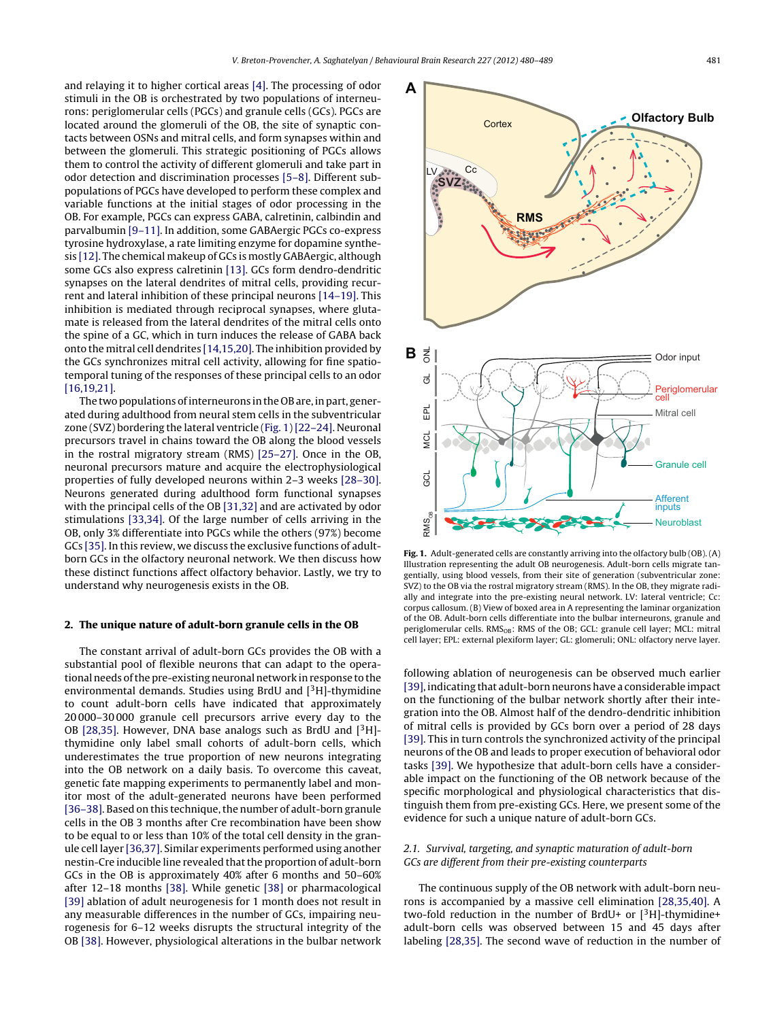and relaying it to higher cortical areas [\[4\]. T](#page-7-0)he processing of odor stimuli in the OB is orchestrated by two populations of interneurons: periglomerular cells (PGCs) and granule cells (GCs). PGCs are located around the glomeruli of the OB, the site of synaptic contacts between OSNs and mitral cells, and form synapses within and between the glomeruli. This strategic positioning of PGCs allows them to control the activity of different glomeruli and take part in odor detection and discrimination processes [\[5–8\]. D](#page-7-0)ifferent subpopulations of PGCs have developed to perform these complex and variable functions at the initial stages of odor processing in the OB. For example, PGCs can express GABA, calretinin, calbindin and parvalbumin [\[9–11\]. I](#page-7-0)n addition, some GABAergic PGCs co-express tyrosine hydroxylase, a rate limiting enzyme for dopamine synthesis [\[12\]. T](#page-7-0)he chemical makeup of GCs is mostly GABAergic, although some GCs also express calretinin [\[13\]. G](#page-7-0)Cs form dendro-dendritic synapses on the lateral dendrites of mitral cells, providing recurrent and lateral inhibition of these principal neurons [\[14–19\]. T](#page-7-0)his inhibition is mediated through reciprocal synapses, where glutamate is released from the lateral dendrites of the mitral cells onto the spine of a GC, which in turn induces the release of GABA back onto the mitral cell dendrites [\[14,15,20\]. T](#page-7-0)he inhibition provided by the GCs synchronizes mitral cell activity, allowing for fine spatiotemporal tuning of the responses of these principal cells to an odor [\[16,19,21\].](#page-7-0)

The two populations of interneurons in the OB are, in part, generated during adulthood from neural stem cells in the subventricular zone (SVZ) bordering the lateral ventricle (Fig. 1)[\[22–24\]. N](#page-7-0)euronal precursors travel in chains toward the OB along the blood vessels in the rostral migratory stream (RMS) [\[25–27\].](#page-7-0) Once in the OB, neuronal precursors mature and acquire the electrophysiological properties of fully developed neurons within 2–3 weeks [\[28–30\].](#page-8-0) Neurons generated during adulthood form functional synapses with the principal cells of the OB [\[31,32\]](#page-8-0) and are activated by odor stimulations [\[33,34\]. O](#page-8-0)f the large number of cells arriving in the OB, only 3% differentiate into PGCs while the others (97%) become GCs [\[35\]. I](#page-8-0)n this review, we discuss the exclusive functions of adultborn GCs in the olfactory neuronal network. We then discuss how these distinct functions affect olfactory behavior. Lastly, we try to understand why neurogenesis exists in the OB.

#### **2. The unique nature of adult-born granule cells in the OB**

The constant arrival of adult-born GCs provides the OB with a substantial pool of flexible neurons that can adapt to the operational needs of the pre-existing neuronal network in response to the environmental demands. Studies using BrdU and  $[3H]$ -thymidine to count adult-born cells have indicated that approximately 20 000–30 000 granule cell precursors arrive every day to the OB [\[28,35\].](#page-8-0) However, DNA base analogs such as BrdU and  $[3H]$ thymidine only label small cohorts of adult-born cells, which underestimates the true proportion of new neurons integrating into the OB network on a daily basis. To overcome this caveat, genetic fate mapping experiments to permanently label and monitor most of the adult-generated neurons have been performed [\[36–38\]. B](#page-8-0)ased on this technique, the number of adult-born granule cells in the OB 3 months after Cre recombination have been show to be equal to or less than 10% of the total cell density in the granule cell layer [\[36,37\]. S](#page-8-0)imilar experiments performed using another nestin-Cre inducible line revealed that the proportion of adult-born GCs in the OB is approximately 40% after 6 months and 50–60% after 12–18 months [\[38\]. W](#page-8-0)hile genetic [\[38\]](#page-8-0) or pharmacological [\[39\]](#page-8-0) ablation of adult neurogenesis for 1 month does not result in any measurable differences in the number of GCs, impairing neurogenesis for 6–12 weeks disrupts the structural integrity of the OB [\[38\]. H](#page-8-0)owever, physiological alterations in the bulbar network



**Fig. 1.** Adult-generated cells are constantly arriving into the olfactory bulb (OB). (A) Illustration representing the adult OB neurogenesis. Adult-born cells migrate tangentially, using blood vessels, from their site of generation (subventricular zone: SVZ) to the OB via the rostral migratory stream (RMS). In the OB, they migrate radially and integrate into the pre-existing neural network. LV: lateral ventricle; Cc: corpus callosum. (B) View of boxed area in A representing the laminar organization of the OB. Adult-born cells differentiate into the bulbar interneurons, granule and periglomerular cells. RMS<sub>OB</sub>: RMS of the OB; GCL: granule cell layer; MCL: mitral cell layer; EPL: external plexiform layer; GL: glomeruli; ONL: olfactory nerve layer.

following ablation of neurogenesis can be observed much earlier [\[39\], i](#page-8-0)ndicating that adult-born neurons have a considerable impact on the functioning of the bulbar network shortly after their integration into the OB. Almost half of the dendro-dendritic inhibition of mitral cells is provided by GCs born over a period of 28 days [\[39\]. T](#page-8-0)his in turn controls the synchronized activity of the principal neurons of the OB and leads to proper execution of behavioral odor tasks [\[39\]. W](#page-8-0)e hypothesize that adult-born cells have a considerable impact on the functioning of the OB network because of the specific morphological and physiological characteristics that distinguish them from pre-existing GCs. Here, we present some of the evidence for such a unique nature of adult-born GCs.

# 2.1. Survival, targeting, and synaptic maturation of adult-born GCs are different from their pre-existing counterparts

The continuous supply of the OB network with adult-born neurons is accompanied by a massive cell elimination [\[28,35,40\].](#page-8-0) A two-fold reduction in the number of BrdU+ or  $[3H]$ -thymidine+ adult-born cells was observed between 15 and 45 days after labeling [\[28,35\]. T](#page-8-0)he second wave of reduction in the number of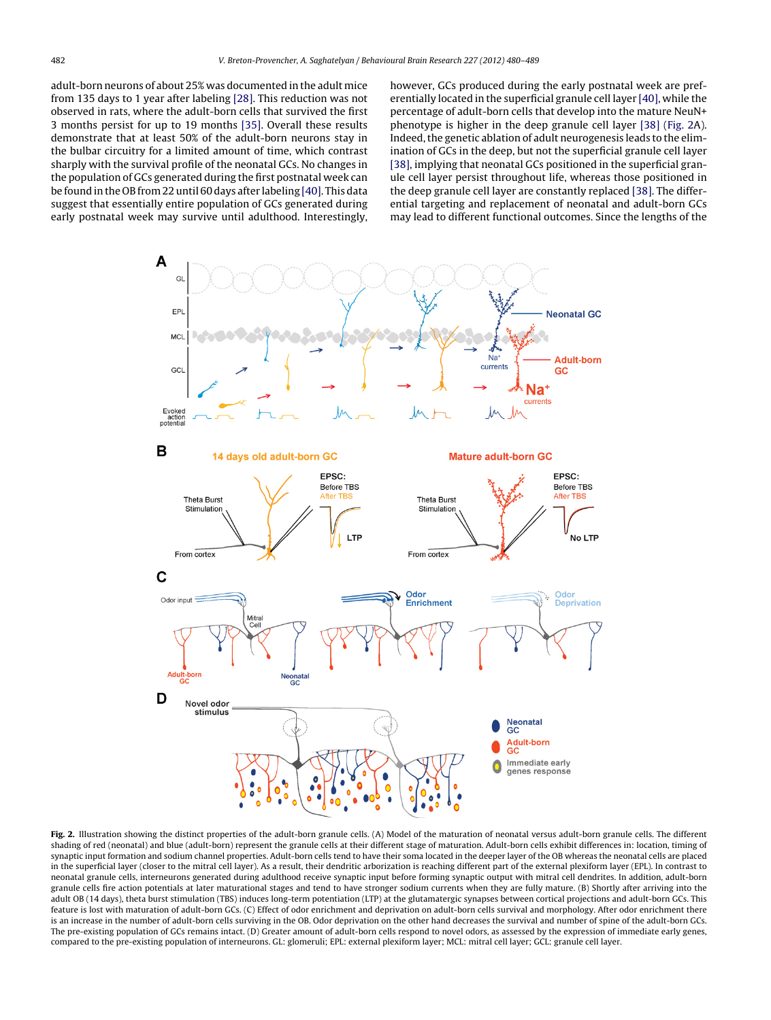<span id="page-2-0"></span>adult-born neurons of about 25% was documented in the adult mice from 135 days to 1 year after labeling [\[28\]. T](#page-8-0)his reduction was not observed in rats, where the adult-born cells that survived the first 3 months persist for up to 19 months [\[35\]. O](#page-8-0)verall these results demonstrate that at least 50% of the adult-born neurons stay in the bulbar circuitry for a limited amount of time, which contrast sharply with the survival profile of the neonatal GCs. No changes in the population of GCs generated during the first postnatal week can be found in the OB from 22 until 60 days after labeling [\[40\]. T](#page-8-0)his data suggest that essentially entire population of GCs generated during early postnatal week may survive until adulthood. Interestingly, however, GCs produced during the early postnatal week are preferentially located in the superficial granule cell layer [\[40\], w](#page-8-0)hile the percentage of adult-born cells that develop into the mature NeuN+ phenotype is higher in the deep granule cell layer [\[38\]](#page-8-0) (Fig. 2A). Indeed, the genetic ablation of adult neurogenesis leads to the elimination of GCs in the deep, but not the superficial granule cell layer [\[38\], i](#page-8-0)mplying that neonatal GCs positioned in the superficial granule cell layer persist throughout life, whereas those positioned in the deep granule cell layer are constantly replaced [\[38\]. T](#page-8-0)he differential targeting and replacement of neonatal and adult-born GCs may lead to different functional outcomes. Since the lengths of the



Fig. 2. Illustration showing the distinct properties of the adult-born granule cells. (A) Model of the maturation of neonatal versus adult-born granule cells. The different shading of red (neonatal) and blue (adult-born) represent the granule cells at their different stage of maturation. Adult-born cells exhibit differences in: location, timing of synaptic input formation and sodium channel properties. Adult-born cells tend to have their soma located in the deeper layer of the OB whereas the neonatal cells are placed in the superficial layer (closer to the mitral cell layer). As a result, their dendritic arborization is reaching different part of the external plexiform layer (EPL). In contrast to neonatal granule cells, interneurons generated during adulthood receive synaptic input before forming synaptic output with mitral cell dendrites. In addition, adult-born granule cells fire action potentials at later maturational stages and tend to have stronger sodium currents when they are fully mature. (B) Shortly after arriving into the adult OB (14 days), theta burst stimulation (TBS) induces long-term potentiation (LTP) at the glutamatergic synapses between cortical projections and adult-born GCs. This feature is lost with maturation of adult-born GCs. (C) Effect of odor enrichment and deprivation on adult-born cells survival and morphology. After odor enrichment there is an increase in the number of adult-born cells surviving in the OB. Odor deprivation on the other hand decreases the survival and number of spine of the adult-born GCs. The pre-existing population of GCs remains intact. (D) Greater amount of adult-born cells respond to novel odors, as assessed by the expression of immediate early genes, compared to the pre-existing population of interneurons. GL: glomeruli; EPL: external plexiform layer; MCL: mitral cell layer; GCL: granule cell layer.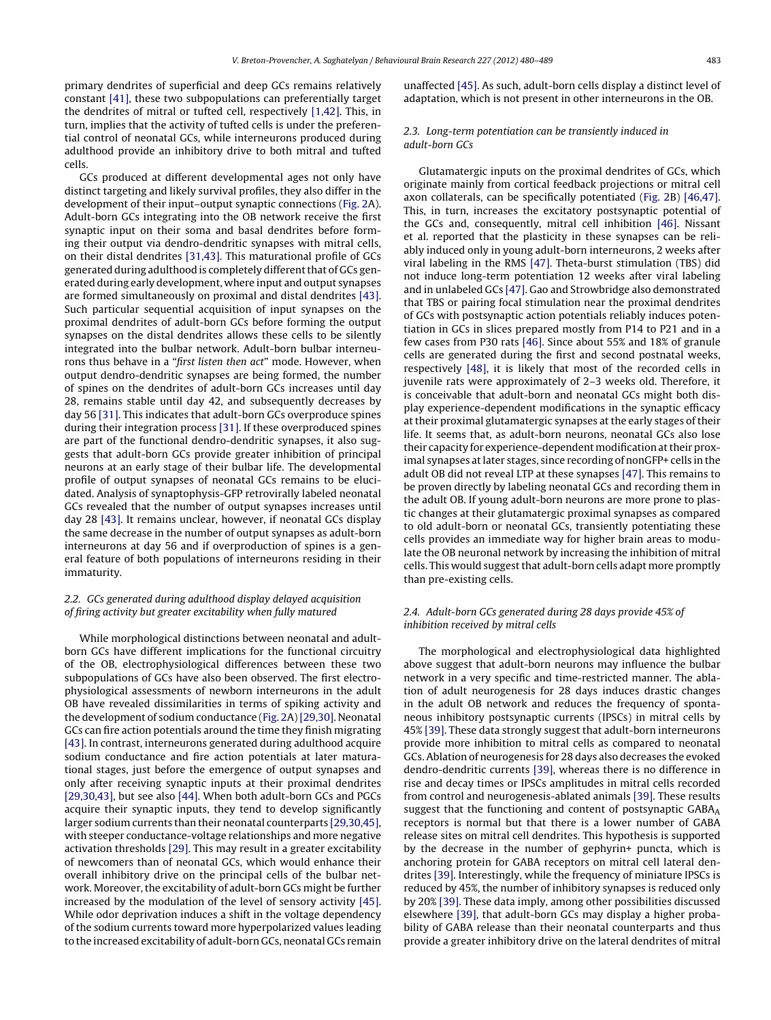primary dendrites of superficial and deep GCs remains relatively constant [\[41\], t](#page-8-0)hese two subpopulations can preferentially target the dendrites of mitral or tufted cell, respectively [\[1,42\].](#page-7-0) This, in turn, implies that the activity of tufted cells is under the preferential control of neonatal GCs, while interneurons produced during adulthood provide an inhibitory drive to both mitral and tufted cells.

GCs produced at different developmental ages not only have distinct targeting and likely survival profiles, they also differ in the development of their input–output synaptic connections ([Fig. 2A](#page-2-0)). Adult-born GCs integrating into the OB network receive the first synaptic input on their soma and basal dendrites before forming their output via dendro-dendritic synapses with mitral cells, on their distal dendrites [\[31,43\]. T](#page-8-0)his maturational profile of GCs generated during adulthood is completely different that of GCs generated during early development, where input and output synapses are formed simultaneously on proximal and distal dendrites [\[43\].](#page-8-0) Such particular sequential acquisition of input synapses on the proximal dendrites of adult-born GCs before forming the output synapses on the distal dendrites allows these cells to be silently integrated into the bulbar network. Adult-born bulbar interneurons thus behave in a "first listen then act" mode. However, when output dendro-dendritic synapses are being formed, the number of spines on the dendrites of adult-born GCs increases until day 28, remains stable until day 42, and subsequently decreases by day 56 [\[31\]. T](#page-8-0)his indicates that adult-born GCs overproduce spines during their integration process [\[31\]. I](#page-8-0)f these overproduced spines are part of the functional dendro-dendritic synapses, it also suggests that adult-born GCs provide greater inhibition of principal neurons at an early stage of their bulbar life. The developmental profile of output synapses of neonatal GCs remains to be elucidated. Analysis of synaptophysis-GFP retrovirally labeled neonatal GCs revealed that the number of output synapses increases until day 28 [\[43\]. I](#page-8-0)t remains unclear, however, if neonatal GCs display the same decrease in the number of output synapses as adult-born interneurons at day 56 and if overproduction of spines is a general feature of both populations of interneurons residing in their immaturity.

# 2.2. GCs generated during adulthood display delayed acquisition of firing activity but greater excitability when fully matured

While morphological distinctions between neonatal and adultborn GCs have different implications for the functional circuitry of the OB, electrophysiological differences between these two subpopulations of GCs have also been observed. The first electrophysiological assessments of newborn interneurons in the adult OB have revealed dissimilarities in terms of spiking activity and the development of sodium conductance [\(Fig. 2A\)](#page-2-0)[\[29,30\]. N](#page-8-0)eonatal GCs can fire action potentials around the time they finish migrating [\[43\]. I](#page-8-0)n contrast, interneurons generated during adulthood acquire sodium conductance and fire action potentials at later maturational stages, just before the emergence of output synapses and only after receiving synaptic inputs at their proximal dendrites [\[29,30,43\], b](#page-8-0)ut see also [\[44\]. W](#page-8-0)hen both adult-born GCs and PGCs acquire their synaptic inputs, they tend to develop significantly larger sodium currents than their neonatal counterparts [\[29,30,45\],](#page-8-0) with steeper conductance-voltage relationships and more negative activation thresholds [\[29\]. T](#page-8-0)his may result in a greater excitability of newcomers than of neonatal GCs, which would enhance their overall inhibitory drive on the principal cells of the bulbar network. Moreover, the excitability of adult-born GCs might be further increased by the modulation of the level of sensory activity [\[45\].](#page-8-0) While odor deprivation induces a shift in the voltage dependency of the sodium currents toward more hyperpolarized values leading to the increased excitability of adult-born GCs, neonatal GCs remain unaffected [\[45\]. A](#page-8-0)s such, adult-born cells display a distinct level of adaptation, which is not present in other interneurons in the OB.

### 2.3. Long-term potentiation can be transiently induced in adult-born GCs

Glutamatergic inputs on the proximal dendrites of GCs, which originate mainly from cortical feedback projections or mitral cell axon collaterals, can be specifically potentiated ([Fig. 2B](#page-2-0)) [\[46,47\].](#page-8-0) This, in turn, increases the excitatory postsynaptic potential of the GCs and, consequently, mitral cell inhibition [\[46\].](#page-8-0) Nissant et al. reported that the plasticity in these synapses can be reliably induced only in young adult-born interneurons, 2 weeks after viral labeling in the RMS [\[47\].](#page-8-0) Theta-burst stimulation (TBS) did not induce long-term potentiation 12 weeks after viral labeling and in unlabeled GCs [\[47\]. G](#page-8-0)ao and Strowbridge also demonstrated that TBS or pairing focal stimulation near the proximal dendrites of GCs with postsynaptic action potentials reliably induces potentiation in GCs in slices prepared mostly from P14 to P21 and in a few cases from P30 rats [\[46\]. S](#page-8-0)ince about 55% and 18% of granule cells are generated during the first and second postnatal weeks, respectively [\[48\],](#page-8-0) it is likely that most of the recorded cells in juvenile rats were approximately of 2–3 weeks old. Therefore, it is conceivable that adult-born and neonatal GCs might both display experience-dependent modifications in the synaptic efficacy at their proximal glutamatergic synapses at the early stages of their life. It seems that, as adult-born neurons, neonatal GCs also lose their capacity for experience-dependent modification at their proximal synapses at later stages, since recording of nonGFP+ cells in the adult OB did not reveal LTP at these synapses [\[47\]. T](#page-8-0)his remains to be proven directly by labeling neonatal GCs and recording them in the adult OB. If young adult-born neurons are more prone to plastic changes at their glutamatergic proximal synapses as compared to old adult-born or neonatal GCs, transiently potentiating these cells provides an immediate way for higher brain areas to modulate the OB neuronal network by increasing the inhibition of mitral cells. This would suggest that adult-born cells adapt more promptly than pre-existing cells.

### 2.4. Adult-born GCs generated during 28 days provide 45% of inhibition received by mitral cells

The morphological and electrophysiological data highlighted above suggest that adult-born neurons may influence the bulbar network in a very specific and time-restricted manner. The ablation of adult neurogenesis for 28 days induces drastic changes in the adult OB network and reduces the frequency of spontaneous inhibitory postsynaptic currents (IPSCs) in mitral cells by 45% [\[39\]. T](#page-8-0)hese data strongly suggest that adult-born interneurons provide more inhibition to mitral cells as compared to neonatal GCs. Ablation of neurogenesis for 28 days also decreases the evoked dendro-dendritic currents [\[39\], w](#page-8-0)hereas there is no difference in rise and decay times or IPSCs amplitudes in mitral cells recorded from control and neurogenesis-ablated animals [\[39\]. T](#page-8-0)hese results suggest that the functioning and content of postsynaptic GABAA receptors is normal but that there is a lower number of GABA release sites on mitral cell dendrites. This hypothesis is supported by the decrease in the number of gephyrin+ puncta, which is anchoring protein for GABA receptors on mitral cell lateral dendrites [\[39\]. I](#page-8-0)nterestingly, while the frequency of miniature IPSCs is reduced by 45%, the number of inhibitory synapses is reduced only by 20% [\[39\]. T](#page-8-0)hese data imply, among other possibilities discussed elsewhere [\[39\], t](#page-8-0)hat adult-born GCs may display a higher probability of GABA release than their neonatal counterparts and thus provide a greater inhibitory drive on the lateral dendrites of mitral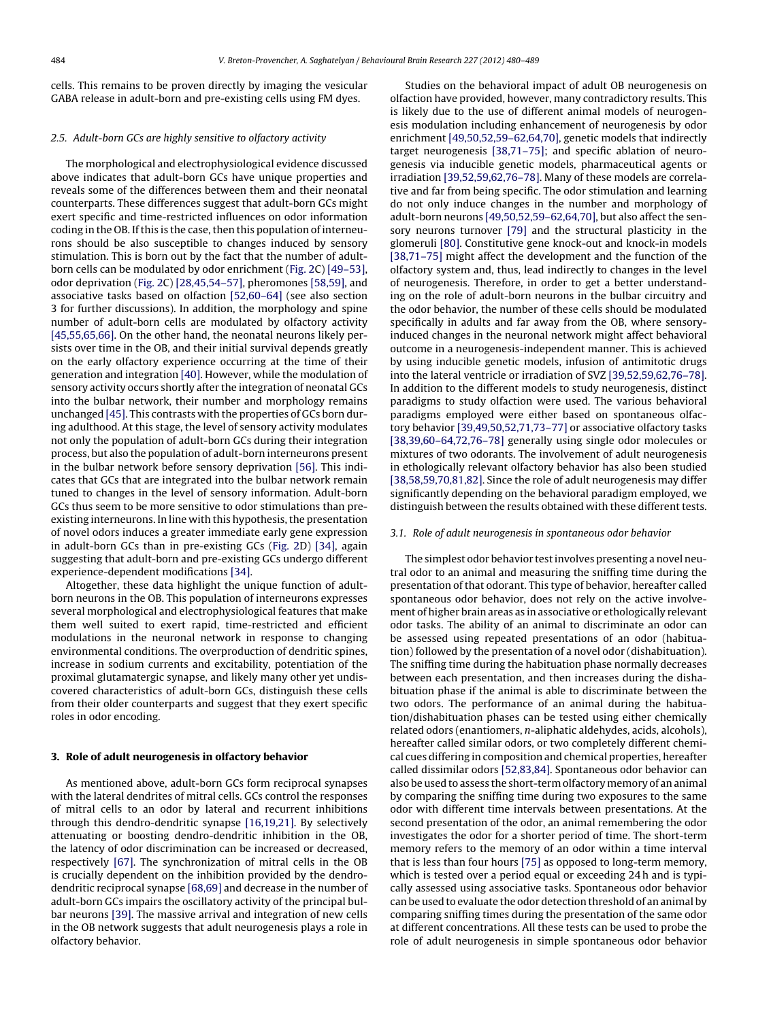cells. This remains to be proven directly by imaging the vesicular GABA release in adult-born and pre-existing cells using FM dyes.

#### 2.5. Adult-born GCs are highly sensitive to olfactory activity

The morphological and electrophysiological evidence discussed above indicates that adult-born GCs have unique properties and reveals some of the differences between them and their neonatal counterparts. These differences suggest that adult-born GCs might exert specific and time-restricted influences on odor information coding in the OB. If this is the case, then this population of interneurons should be also susceptible to changes induced by sensory stimulation. This is born out by the fact that the number of adultborn cells can be modulated by odor enrichment ([Fig. 2C\)](#page-2-0) [\[49–53\],](#page-8-0) odor deprivation [\(Fig. 2C](#page-2-0)) [\[28,45,54–57\], p](#page-8-0)heromones [\[58,59\], a](#page-8-0)nd associative tasks based on olfaction [\[52,60–64\]](#page-8-0) (see also section 3 for further discussions). In addition, the morphology and spine number of adult-born cells are modulated by olfactory activity [\[45,55,65,66\]. O](#page-8-0)n the other hand, the neonatal neurons likely persists over time in the OB, and their initial survival depends greatly on the early olfactory experience occurring at the time of their generation and integration [\[40\]. H](#page-8-0)owever, while the modulation of sensory activity occurs shortly after the integration of neonatal GCs into the bulbar network, their number and morphology remains unchanged [\[45\]. T](#page-8-0)his contrasts with the properties of GCs born during adulthood. At this stage, the level of sensory activity modulates not only the population of adult-born GCs during their integration process, but also the population of adult-born interneurons present in the bulbar network before sensory deprivation [\[56\]. T](#page-8-0)his indicates that GCs that are integrated into the bulbar network remain tuned to changes in the level of sensory information. Adult-born GCs thus seem to be more sensitive to odor stimulations than preexisting interneurons. In line with this hypothesis, the presentation of novel odors induces a greater immediate early gene expression in adult-born GCs than in pre-existing GCs [\(Fig. 2D](#page-2-0)) [\[34\],](#page-8-0) again suggesting that adult-born and pre-existing GCs undergo different experience-dependent modifications [\[34\].](#page-8-0)

Altogether, these data highlight the unique function of adultborn neurons in the OB. This population of interneurons expresses several morphological and electrophysiological features that make them well suited to exert rapid, time-restricted and efficient modulations in the neuronal network in response to changing environmental conditions. The overproduction of dendritic spines, increase in sodium currents and excitability, potentiation of the proximal glutamatergic synapse, and likely many other yet undiscovered characteristics of adult-born GCs, distinguish these cells from their older counterparts and suggest that they exert specific roles in odor encoding.

#### **3. Role of adult neurogenesis in olfactory behavior**

As mentioned above, adult-born GCs form reciprocal synapses with the lateral dendrites of mitral cells. GCs control the responses of mitral cells to an odor by lateral and recurrent inhibitions through this dendro-dendritic synapse [\[16,19,21\].](#page-7-0) By selectively attenuating or boosting dendro-dendritic inhibition in the OB, the latency of odor discrimination can be increased or decreased, respectively [\[67\].](#page-8-0) The synchronization of mitral cells in the OB is crucially dependent on the inhibition provided by the dendrodendritic reciprocal synapse [\[68,69\]](#page-8-0) and decrease in the number of adult-born GCs impairs the oscillatory activity of the principal bulbar neurons [\[39\]. T](#page-8-0)he massive arrival and integration of new cells in the OB network suggests that adult neurogenesis plays a role in olfactory behavior.

Studies on the behavioral impact of adult OB neurogenesis on olfaction have provided, however, many contradictory results. This is likely due to the use of different animal models of neurogenesis modulation including enhancement of neurogenesis by odor enrichment [\[49,50,52,59–62,64,70\], g](#page-8-0)enetic models that indirectly target neurogenesis [\[38,71–75\];](#page-8-0) and specific ablation of neurogenesis via inducible genetic models, pharmaceutical agents or irradiation [\[39,52,59,62,76–78\]. M](#page-8-0)any of these models are correlative and far from being specific. The odor stimulation and learning do not only induce changes in the number and morphology of adult-born neurons [\[49,50,52,59–62,64,70\], b](#page-8-0)ut also affect the sensory neurons turnover [\[79\]](#page-8-0) and the structural plasticity in the glomeruli [\[80\]. C](#page-8-0)onstitutive gene knock-out and knock-in models [\[38,71–75\]](#page-8-0) might affect the development and the function of the olfactory system and, thus, lead indirectly to changes in the level of neurogenesis. Therefore, in order to get a better understanding on the role of adult-born neurons in the bulbar circuitry and the odor behavior, the number of these cells should be modulated specifically in adults and far away from the OB, where sensoryinduced changes in the neuronal network might affect behavioral outcome in a neurogenesis-independent manner. This is achieved by using inducible genetic models, infusion of antimitotic drugs into the lateral ventricle or irradiation of SVZ [\[39,52,59,62,76–78\].](#page-8-0) In addition to the different models to study neurogenesis, distinct paradigms to study olfaction were used. The various behavioral paradigms employed were either based on spontaneous olfactory behavior [\[39,49,50,52,71,73–77\]](#page-8-0) or associative olfactory tasks [\[38,39,60–64,72,76–78\]](#page-8-0) generally using single odor molecules or mixtures of two odorants. The involvement of adult neurogenesis in ethologically relevant olfactory behavior has also been studied [\[38,58,59,70,81,82\]. S](#page-8-0)ince the role of adult neurogenesis may differ significantly depending on the behavioral paradigm employed, we distinguish between the results obtained with these different tests.

#### 3.1. Role of adult neurogenesis in spontaneous odor behavior

The simplest odor behavior test involves presenting a novel neutral odor to an animal and measuring the sniffing time during the presentation of that odorant. This type of behavior, hereafter called spontaneous odor behavior, does not rely on the active involvement of higher brain areas as in associative or ethologically relevant odor tasks. The ability of an animal to discriminate an odor can be assessed using repeated presentations of an odor (habituation) followed by the presentation of a novel odor (dishabituation). The sniffing time during the habituation phase normally decreases between each presentation, and then increases during the dishabituation phase if the animal is able to discriminate between the two odors. The performance of an animal during the habituation/dishabituation phases can be tested using either chemically related odors (enantiomers, n-aliphatic aldehydes, acids, alcohols), hereafter called similar odors, or two completely different chemical cues differing in composition and chemical properties, hereafter called dissimilar odors [\[52,83,84\]. S](#page-8-0)pontaneous odor behavior can also be used to assess the short-term olfactory memory of an animal by comparing the sniffing time during two exposures to the same odor with different time intervals between presentations. At the second presentation of the odor, an animal remembering the odor investigates the odor for a shorter period of time. The short-term memory refers to the memory of an odor within a time interval that is less than four hours [\[75\]](#page-8-0) as opposed to long-term memory, which is tested over a period equal or exceeding 24 h and is typically assessed using associative tasks. Spontaneous odor behavior can be used to evaluate the odor detection threshold of an animal by comparing sniffing times during the presentation of the same odor at different concentrations. All these tests can be used to probe the role of adult neurogenesis in simple spontaneous odor behavior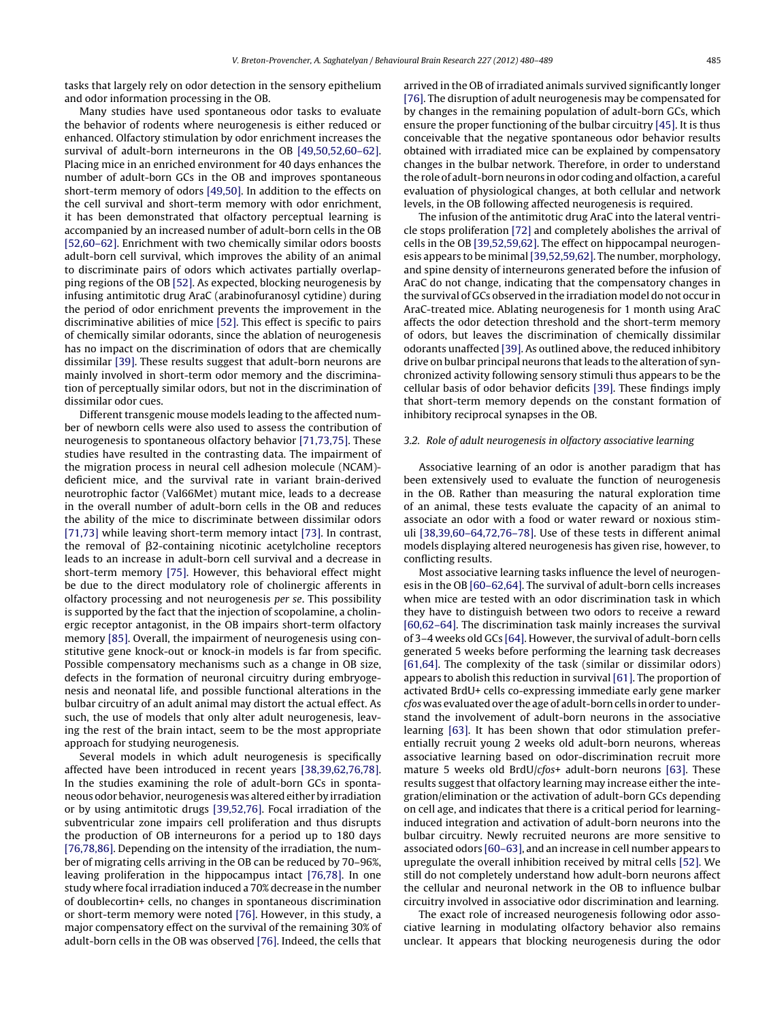tasks that largely rely on odor detection in the sensory epithelium and odor information processing in the OB.

Many studies have used spontaneous odor tasks to evaluate the behavior of rodents where neurogenesis is either reduced or enhanced. Olfactory stimulation by odor enrichment increases the survival of adult-born interneurons in the OB [\[49,50,52,60–62\].](#page-8-0) Placing mice in an enriched environment for 40 days enhances the number of adult-born GCs in the OB and improves spontaneous short-term memory of odors [\[49,50\]. I](#page-8-0)n addition to the effects on the cell survival and short-term memory with odor enrichment, it has been demonstrated that olfactory perceptual learning is accompanied by an increased number of adult-born cells in the OB [\[52,60–62\]. E](#page-8-0)nrichment with two chemically similar odors boosts adult-born cell survival, which improves the ability of an animal to discriminate pairs of odors which activates partially overlapping regions of the OB [\[52\]. A](#page-8-0)s expected, blocking neurogenesis by infusing antimitotic drug AraC (arabinofuranosyl cytidine) during the period of odor enrichment prevents the improvement in the discriminative abilities of mice [\[52\]. T](#page-8-0)his effect is specific to pairs of chemically similar odorants, since the ablation of neurogenesis has no impact on the discrimination of odors that are chemically dissimilar [\[39\]. T](#page-8-0)hese results suggest that adult-born neurons are mainly involved in short-term odor memory and the discrimination of perceptually similar odors, but not in the discrimination of dissimilar odor cues.

Different transgenic mouse models leading to the affected number of newborn cells were also used to assess the contribution of neurogenesis to spontaneous olfactory behavior [\[71,73,75\]. T](#page-8-0)hese studies have resulted in the contrasting data. The impairment of the migration process in neural cell adhesion molecule (NCAM) deficient mice, and the survival rate in variant brain-derived neurotrophic factor (Val66Met) mutant mice, leads to a decrease in the overall number of adult-born cells in the OB and reduces the ability of the mice to discriminate between dissimilar odors [\[71,73\]](#page-8-0) while leaving short-term memory intact [\[73\]. I](#page-8-0)n contrast, the removal of  $\beta$ 2-containing nicotinic acetylcholine receptors leads to an increase in adult-born cell survival and a decrease in short-term memory [\[75\]. H](#page-8-0)owever, this behavioral effect might be due to the direct modulatory role of cholinergic afferents in olfactory processing and not neurogenesis per se. This possibility is supported by the fact that the injection of scopolamine, a cholinergic receptor antagonist, in the OB impairs short-term olfactory memory [\[85\]. O](#page-9-0)verall, the impairment of neurogenesis using constitutive gene knock-out or knock-in models is far from specific. Possible compensatory mechanisms such as a change in OB size, defects in the formation of neuronal circuitry during embryogenesis and neonatal life, and possible functional alterations in the bulbar circuitry of an adult animal may distort the actual effect. As such, the use of models that only alter adult neurogenesis, leaving the rest of the brain intact, seem to be the most appropriate approach for studying neurogenesis.

Several models in which adult neurogenesis is specifically affected have been introduced in recent years [\[38,39,62,76,78\].](#page-8-0) In the studies examining the role of adult-born GCs in spontaneous odor behavior, neurogenesis was altered either by irradiation or by using antimitotic drugs [\[39,52,76\].](#page-8-0) Focal irradiation of the subventricular zone impairs cell proliferation and thus disrupts the production of OB interneurons for a period up to 180 days [\[76,78,86\]. D](#page-8-0)epending on the intensity of the irradiation, the number of migrating cells arriving in the OB can be reduced by 70–96%, leaving proliferation in the hippocampus intact [\[76,78\].](#page-8-0) In one study where focal irradiation induced a 70% decrease in the number of doublecortin+ cells, no changes in spontaneous discrimination or short-term memory were noted [\[76\]. H](#page-8-0)owever, in this study, a major compensatory effect on the survival of the remaining 30% of adult-born cells in the OB was observed [\[76\]. I](#page-8-0)ndeed, the cells that arrived in the OB of irradiated animals survived significantly longer [\[76\]. T](#page-8-0)he disruption of adult neurogenesis may be compensated for by changes in the remaining population of adult-born GCs, which ensure the proper functioning of the bulbar circuitry [\[45\]. I](#page-8-0)t is thus conceivable that the negative spontaneous odor behavior results obtained with irradiated mice can be explained by compensatory changes in the bulbar network. Therefore, in order to understand the role of adult-born neurons in odor coding and olfaction, a careful evaluation of physiological changes, at both cellular and network levels, in the OB following affected neurogenesis is required.

The infusion of the antimitotic drug AraC into the lateral ventricle stops proliferation [\[72\]](#page-8-0) and completely abolishes the arrival of cells in the OB [\[39,52,59,62\]. T](#page-8-0)he effect on hippocampal neurogenesis appears to be minimal[\[39,52,59,62\]. T](#page-8-0)he number, morphology, and spine density of interneurons generated before the infusion of AraC do not change, indicating that the compensatory changes in the survival of GCs observed in the irradiation model do not occur in AraC-treated mice. Ablating neurogenesis for 1 month using AraC affects the odor detection threshold and the short-term memory of odors, but leaves the discrimination of chemically dissimilar odorants unaffected [\[39\]. A](#page-8-0)s outlined above, the reduced inhibitory drive on bulbar principal neurons that leads to the alteration of synchronized activity following sensory stimuli thus appears to be the cellular basis of odor behavior deficits [\[39\].](#page-8-0) These findings imply that short-term memory depends on the constant formation of inhibitory reciprocal synapses in the OB.

# 3.2. Role of adult neurogenesis in olfactory associative learning

Associative learning of an odor is another paradigm that has been extensively used to evaluate the function of neurogenesis in the OB. Rather than measuring the natural exploration time of an animal, these tests evaluate the capacity of an animal to associate an odor with a food or water reward or noxious stimuli [\[38,39,60–64,72,76–78\].](#page-8-0) Use of these tests in different animal models displaying altered neurogenesis has given rise, however, to conflicting results.

Most associative learning tasks influence the level of neurogenesis in the OB [\[60–62,64\]. T](#page-8-0)he survival of adult-born cells increases when mice are tested with an odor discrimination task in which they have to distinguish between two odors to receive a reward [\[60,62–64\]. T](#page-8-0)he discrimination task mainly increases the survival of 3–4 weeks old GCs [\[64\]. H](#page-8-0)owever, the survival of adult-born cells generated 5 weeks before performing the learning task decreases [\[61,64\].](#page-8-0) The complexity of the task (similar or dissimilar odors) appears to abolish this reduction in survival [\[61\]. T](#page-8-0)he proportion of activated BrdU+ cells co-expressing immediate early gene marker cfos was evaluated over the age of adult-born cells in order to understand the involvement of adult-born neurons in the associative learning [\[63\].](#page-8-0) It has been shown that odor stimulation preferentially recruit young 2 weeks old adult-born neurons, whereas associative learning based on odor-discrimination recruit more mature 5 weeks old BrdU/cfos+ adult-born neurons [\[63\].](#page-8-0) These results suggest that olfactory learning may increase either the integration/elimination or the activation of adult-born GCs depending on cell age, and indicates that there is a critical period for learninginduced integration and activation of adult-born neurons into the bulbar circuitry. Newly recruited neurons are more sensitive to associated odors [\[60–63\], a](#page-8-0)nd an increase in cell number appears to upregulate the overall inhibition received by mitral cells [\[52\]. W](#page-8-0)e still do not completely understand how adult-born neurons affect the cellular and neuronal network in the OB to influence bulbar circuitry involved in associative odor discrimination and learning.

The exact role of increased neurogenesis following odor associative learning in modulating olfactory behavior also remains unclear. It appears that blocking neurogenesis during the odor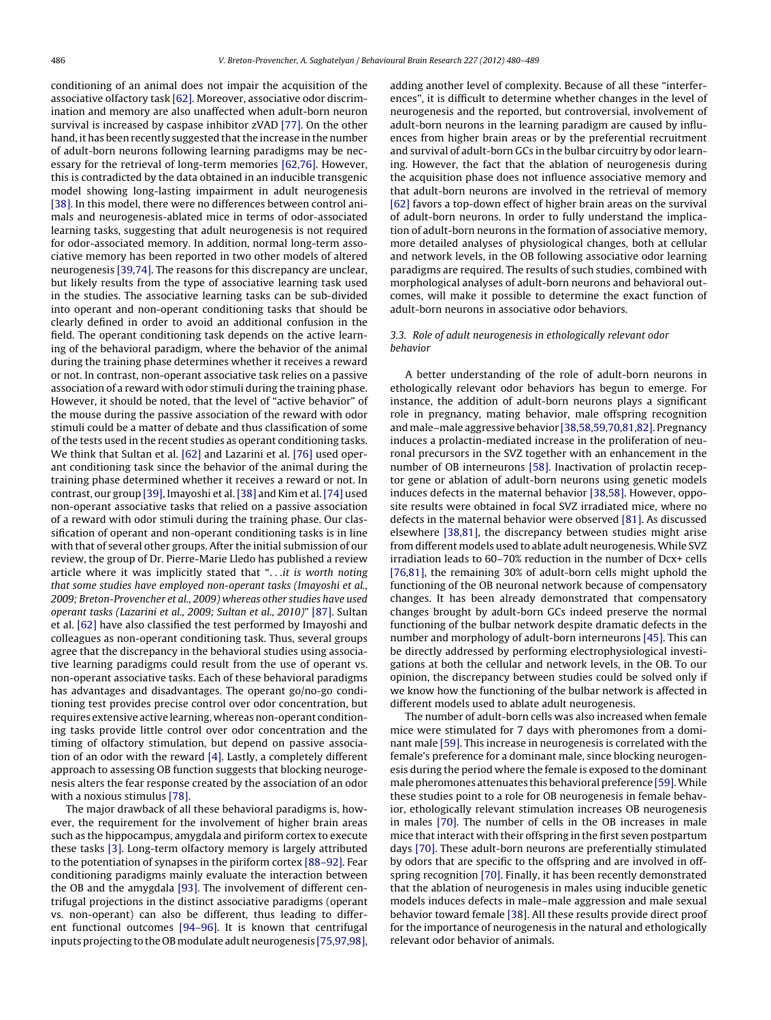conditioning of an animal does not impair the acquisition of the associative olfactory task [\[62\]. M](#page-8-0)oreover, associative odor discrimination and memory are also unaffected when adult-born neuron survival is increased by caspase inhibitor zVAD [\[77\]. O](#page-8-0)n the other hand, it has been recently suggested that the increase in the number of adult-born neurons following learning paradigms may be necessary for the retrieval of long-term memories [\[62,76\]. H](#page-8-0)owever, this is contradicted by the data obtained in an inducible transgenic model showing long-lasting impairment in adult neurogenesis [\[38\]. I](#page-8-0)n this model, there were no differences between control animals and neurogenesis-ablated mice in terms of odor-associated learning tasks, suggesting that adult neurogenesis is not required for odor-associated memory. In addition, normal long-term associative memory has been reported in two other models of altered neurogenesis [\[39,74\]. T](#page-8-0)he reasons for this discrepancy are unclear, but likely results from the type of associative learning task used in the studies. The associative learning tasks can be sub-divided into operant and non-operant conditioning tasks that should be clearly defined in order to avoid an additional confusion in the field. The operant conditioning task depends on the active learning of the behavioral paradigm, where the behavior of the animal during the training phase determines whether it receives a reward or not. In contrast, non-operant associative task relies on a passive association of a reward with odor stimuli during the training phase. However, it should be noted, that the level of "active behavior" of the mouse during the passive association of the reward with odor stimuli could be a matter of debate and thus classification of some of the tests used in the recent studies as operant conditioning tasks. We think that Sultan et al. [\[62\]](#page-8-0) and Lazarini et al. [\[76\]](#page-8-0) used operant conditioning task since the behavior of the animal during the training phase determined whether it receives a reward or not. In contrast, our group [\[39\], I](#page-8-0)mayoshi et al.[\[38\]](#page-8-0) and Kim et al.[\[74\]](#page-8-0) used non-operant associative tasks that relied on a passive association of a reward with odor stimuli during the training phase. Our classification of operant and non-operant conditioning tasks is in line with that of several other groups. After the initial submission of our review, the group of Dr. Pierre-Marie Lledo has published a review article where it was implicitly stated that "...it is worth noting that some studies have employed non-operant tasks (Imayoshi et al., 2009; Breton-Provencher et al., 2009) whereas other studies have used operant tasks (Lazarini et al., 2009; Sultan et al., 2010)" [\[87\]. S](#page-9-0)ultan et al. [\[62\]](#page-8-0) have also classified the test performed by Imayoshi and colleagues as non-operant conditioning task. Thus, several groups agree that the discrepancy in the behavioral studies using associative learning paradigms could result from the use of operant vs. non-operant associative tasks. Each of these behavioral paradigms has advantages and disadvantages. The operant go/no-go conditioning test provides precise control over odor concentration, but requires extensive active learning, whereas non-operant conditioning tasks provide little control over odor concentration and the timing of olfactory stimulation, but depend on passive association of an odor with the reward [\[4\]. L](#page-7-0)astly, a completely different approach to assessing OB function suggests that blocking neurogenesis alters the fear response created by the association of an odor with a noxious stimulus [\[78\].](#page-8-0)

The major drawback of all these behavioral paradigms is, however, the requirement for the involvement of higher brain areas such as the hippocampus, amygdala and piriform cortex to execute these tasks [\[3\]. L](#page-7-0)ong-term olfactory memory is largely attributed to the potentiation of synapses in the piriform cortex [\[88–92\]. F](#page-9-0)ear conditioning paradigms mainly evaluate the interaction between the OB and the amygdala [\[93\]. T](#page-9-0)he involvement of different centrifugal projections in the distinct associative paradigms (operant vs. non-operant) can also be different, thus leading to different functional outcomes [\[94–96\].](#page-9-0) It is known that centrifugal inputs projecting to the OBmodulate adult neurogenesis [\[75,97,98\],](#page-8-0)

adding another level of complexity. Because of all these "interferences", it is difficult to determine whether changes in the level of neurogenesis and the reported, but controversial, involvement of adult-born neurons in the learning paradigm are caused by influences from higher brain areas or by the preferential recruitment and survival of adult-born GCs in the bulbar circuitry by odor learning. However, the fact that the ablation of neurogenesis during the acquisition phase does not influence associative memory and that adult-born neurons are involved in the retrieval of memory [\[62\]](#page-8-0) favors a top-down effect of higher brain areas on the survival of adult-born neurons. In order to fully understand the implication of adult-born neurons in the formation of associative memory, more detailed analyses of physiological changes, both at cellular and network levels, in the OB following associative odor learning paradigms are required. The results of such studies, combined with morphological analyses of adult-born neurons and behavioral outcomes, will make it possible to determine the exact function of adult-born neurons in associative odor behaviors.

### 3.3. Role of adult neurogenesis in ethologically relevant odor behavior

A better understanding of the role of adult-born neurons in ethologically relevant odor behaviors has begun to emerge. For instance, the addition of adult-born neurons plays a significant role in pregnancy, mating behavior, male offspring recognition and male–male aggressive behavior [\[38,58,59,70,81,82\]. P](#page-8-0)regnancy induces a prolactin-mediated increase in the proliferation of neuronal precursors in the SVZ together with an enhancement in the number of OB interneurons [\[58\].](#page-8-0) Inactivation of prolactin receptor gene or ablation of adult-born neurons using genetic models induces defects in the maternal behavior [\[38,58\]. H](#page-8-0)owever, opposite results were obtained in focal SVZ irradiated mice, where no defects in the maternal behavior were observed [\[81\]. A](#page-8-0)s discussed elsewhere [\[38,81\],](#page-8-0) the discrepancy between studies might arise from different models used to ablate adult neurogenesis. While SVZ irradiation leads to 60–70% reduction in the number of Dcx+ cells [\[76,81\],](#page-8-0) the remaining 30% of adult-born cells might uphold the functioning of the OB neuronal network because of compensatory changes. It has been already demonstrated that compensatory changes brought by adult-born GCs indeed preserve the normal functioning of the bulbar network despite dramatic defects in the number and morphology of adult-born interneurons [\[45\]. T](#page-8-0)his can be directly addressed by performing electrophysiological investigations at both the cellular and network levels, in the OB. To our opinion, the discrepancy between studies could be solved only if we know how the functioning of the bulbar network is affected in different models used to ablate adult neurogenesis.

The number of adult-born cells was also increased when female mice were stimulated for 7 days with pheromones from a dominant male [\[59\]. T](#page-8-0)his increase in neurogenesis is correlated with the female's preference for a dominant male, since blocking neurogenesis during the period where the female is exposed to the dominant male pheromones attenuates this behavioral preference [\[59\].W](#page-8-0)hile these studies point to a role for OB neurogenesis in female behavior, ethologically relevant stimulation increases OB neurogenesis in males [\[70\].](#page-8-0) The number of cells in the OB increases in male mice that interact with their offspring in the first seven postpartum days [\[70\]. T](#page-8-0)hese adult-born neurons are preferentially stimulated by odors that are specific to the offspring and are involved in offspring recognition [\[70\]. F](#page-8-0)inally, it has been recently demonstrated that the ablation of neurogenesis in males using inducible genetic models induces defects in male–male aggression and male sexual behavior toward female [\[38\]. A](#page-8-0)ll these results provide direct proof for the importance of neurogenesis in the natural and ethologically relevant odor behavior of animals.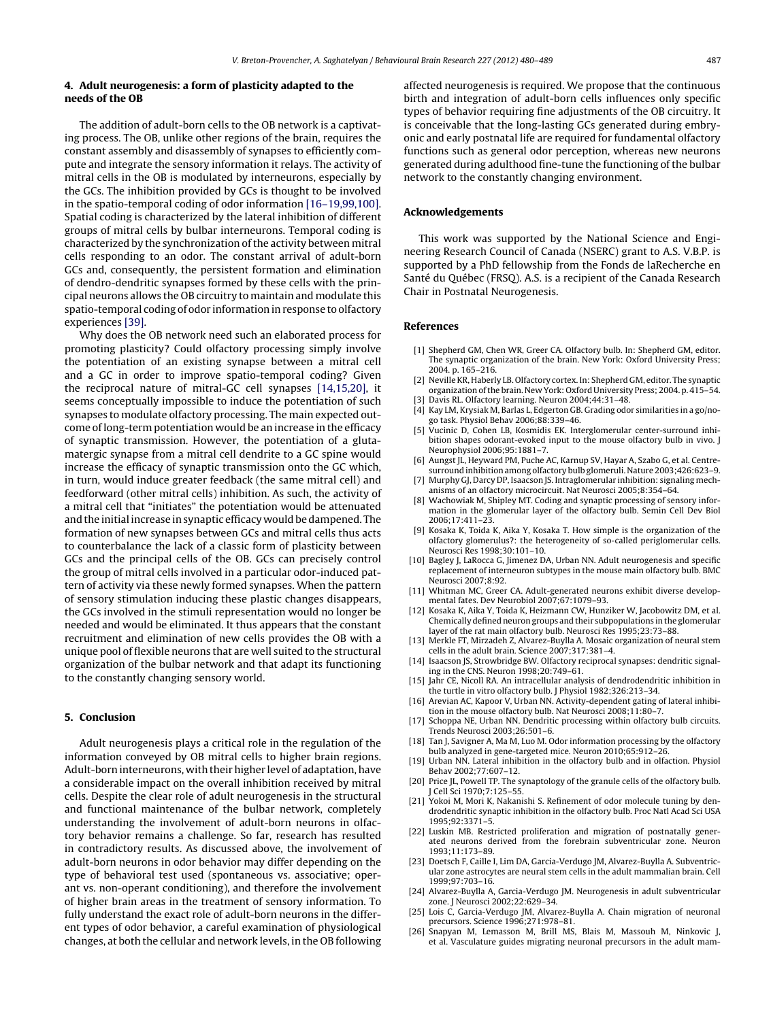#### <span id="page-7-0"></span>**4. Adult neurogenesis: a form of plasticity adapted to the needs of the OB**

The addition of adult-born cells to the OB network is a captivating process. The OB, unlike other regions of the brain, requires the constant assembly and disassembly of synapses to efficiently compute and integrate the sensory information it relays. The activity of mitral cells in the OB is modulated by interneurons, especially by the GCs. The inhibition provided by GCs is thought to be involved in the spatio-temporal coding of odor information [16–19,99,100]. Spatial coding is characterized by the lateral inhibition of different groups of mitral cells by bulbar interneurons. Temporal coding is characterized by the synchronization of the activity between mitral cells responding to an odor. The constant arrival of adult-born GCs and, consequently, the persistent formation and elimination of dendro-dendritic synapses formed by these cells with the principal neurons allows the OB circuitry to maintain and modulate this spatio-temporal coding of odor information in response to olfactory experiences [\[39\].](#page-8-0)

Why does the OB network need such an elaborated process for promoting plasticity? Could olfactory processing simply involve the potentiation of an existing synapse between a mitral cell and a GC in order to improve spatio-temporal coding? Given the reciprocal nature of mitral-GC cell synapses [14,15,20], it seems conceptually impossible to induce the potentiation of such synapses to modulate olfactory processing. The main expected outcome of long-term potentiation would be an increase in the efficacy of synaptic transmission. However, the potentiation of a glutamatergic synapse from a mitral cell dendrite to a GC spine would increase the efficacy of synaptic transmission onto the GC which, in turn, would induce greater feedback (the same mitral cell) and feedforward (other mitral cells) inhibition. As such, the activity of a mitral cell that "initiates" the potentiation would be attenuated and the initial increase in synaptic efficacy would be dampened. The formation of new synapses between GCs and mitral cells thus acts to counterbalance the lack of a classic form of plasticity between GCs and the principal cells of the OB. GCs can precisely control the group of mitral cells involved in a particular odor-induced pattern of activity via these newly formed synapses. When the pattern of sensory stimulation inducing these plastic changes disappears, the GCs involved in the stimuli representation would no longer be needed and would be eliminated. It thus appears that the constant recruitment and elimination of new cells provides the OB with a unique pool of flexible neurons that are well suited to the structural organization of the bulbar network and that adapt its functioning to the constantly changing sensory world.

# **5. Conclusion**

Adult neurogenesis plays a critical role in the regulation of the information conveyed by OB mitral cells to higher brain regions. Adult-born interneurons, with their higher level of adaptation, have a considerable impact on the overall inhibition received by mitral cells. Despite the clear role of adult neurogenesis in the structural and functional maintenance of the bulbar network, completely understanding the involvement of adult-born neurons in olfactory behavior remains a challenge. So far, research has resulted in contradictory results. As discussed above, the involvement of adult-born neurons in odor behavior may differ depending on the type of behavioral test used (spontaneous vs. associative; operant vs. non-operant conditioning), and therefore the involvement of higher brain areas in the treatment of sensory information. To fully understand the exact role of adult-born neurons in the different types of odor behavior, a careful examination of physiological changes, at both the cellular and network levels, in the OB following

affected neurogenesis is required. We propose that the continuous birth and integration of adult-born cells influences only specific types of behavior requiring fine adjustments of the OB circuitry. It is conceivable that the long-lasting GCs generated during embryonic and early postnatal life are required for fundamental olfactory functions such as general odor perception, whereas new neurons generated during adulthood fine-tune the functioning of the bulbar network to the constantly changing environment.

#### **Acknowledgements**

This work was supported by the National Science and Engineering Research Council of Canada (NSERC) grant to A.S. V.B.P. is supported by a PhD fellowship from the Fonds de laRecherche en Santé du Québec (FRSQ). A.S. is a recipient of the Canada Research Chair in Postnatal Neurogenesis.

#### **References**

- [1] Shepherd GM, Chen WR, Greer CA. Olfactory bulb. In: Shepherd GM, editor. The synaptic organization of the brain. New York: Oxford University Press; 2004. p. 165–216.
- [2] Neville KR, Haberly LB. Olfactory cortex. In: Shepherd GM, editor. The synaptic organization of the brain. New York: Oxford University Press; 2004. p. 415–54. [3] Davis RL. Olfactory learning. Neuron 2004;44:31–48.
- [4] Kay LM, Krysiak M, Barlas L, Edgerton GB. Grading odor similarities in a go/nogo task. Physiol Behav 2006;88:339–46.
- Vucinic D, Cohen LB, Kosmidis EK. Interglomerular center-surround inhibition shapes odorant-evoked input to the mouse olfactory bulb in vivo. J Neurophysiol 2006;95:1881–7.
- [6] Aungst JL, Heyward PM, Puche AC, Karnup SV, Hayar A, Szabo G, et al. Centre-
- surround inhibition among olfactory bulb glomeruli. Nature 2003;426:623–9. [7] Murphy GJ, Darcy DP, Isaacson JS. Intraglomerular inhibition: signaling mechanisms of an olfactory microcircuit. Nat Neurosci 2005;8:354–64.
- Wachowiak M, Shipley MT. Coding and synaptic processing of sensory information in the glomerular layer of the olfactory bulb. Semin Cell Dev Biol 2006;17:411–23.
- [9] Kosaka K, Toida K, Aika Y, Kosaka T. How simple is the organization of the olfactory glomerulus?: the heterogeneity of so-called periglomerular cells. Neurosci Res 1998;30:101–10.
- [10] Bagley J, LaRocca G, Jimenez DA, Urban NN, Adult neurogenesis and specific replacement of interneuron subtypes in the mouse main olfactory bulb. BMC Neurosci 2007;8:92.
- [11] Whitman MC, Greer CA. Adult-generated neurons exhibit diverse developmental fates. Dev Neurobiol 2007;67:1079–93.
- [12] Kosaka K, Aika Y, Toida K, Heizmann CW, Hunziker W, Jacobowitz DM, et al. Chemically defined neuron groups and their subpopulations in the glomerular layer of the rat main olfactory bulb. Neurosci Res 1995;23:73–88.
- [13] Merkle FT, Mirzadeh Z, Alvarez-Buylla A. Mosaic organization of neural stem cells in the adult brain. Science 2007;317:381–4.
- [14] Isaacson JS, Strowbridge BW. Olfactory reciprocal synapses: dendritic signaling in the CNS. Neuron 1998;20:749–61.
- [15] Jahr CE, Nicoll RA. An intracellular analysis of dendrodendritic inhibition in the turtle in vitro olfactory bulb. J Physiol 1982;326:213–34.
- [16] Arevian AC, Kapoor V, Urban NN. Activity-dependent gating of lateral inhibition in the mouse olfactory bulb. Nat Neurosci 2008;11:80–7.
- [17] Schoppa NE, Urban NN. Dendritic processing within olfactory bulb circuits. Trends Neurosci 2003;26:501–6.
- [18] Tan J, Savigner A, Ma M, Luo M. Odor information processing by the olfactory bulb analyzed in gene-targeted mice. Neuron 2010;65:912–26.
- [19] Urban NN. Lateral inhibition in the olfactory bulb and in olfaction. Physiol Behav 2002;77:607–12.
- [20] Price JL, Powell TP. The synaptology of the granule cells of the olfactory bulb. J Cell Sci 1970;7:125–55.
- [21] Yokoi M, Mori K, Nakanishi S. Refinement of odor molecule tuning by dendrodendritic synaptic inhibition in the olfactory bulb. Proc Natl Acad Sci USA 1995;92:3371–5.
- [22] Luskin MB. Restricted proliferation and migration of postnatally generated neurons derived from the forebrain subventricular zone. Neuron 1993;11:173–89.
- [23] Doetsch F, Caille I, Lim DA, Garcia-Verdugo JM, Alvarez-Buylla A. Subventricular zone astrocytes are neural stem cells in the adult mammalian brain. Cell 1999;97:703–16.
- [24] Alvarez-Buylla A, Garcia-Verdugo JM. Neurogenesis in adult subventricular zone. J Neurosci 2002;22:629–34.
- [25] Lois C, Garcia-Verdugo JM, Alvarez-Buylla A. Chain migration of neuronal precursors. Science 1996;271:978–81.
- [26] Snapyan M, Lemasson M, Brill MS, Blais M, Massouh M, Ninkovic J, et al. Vasculature guides migrating neuronal precursors in the adult mam-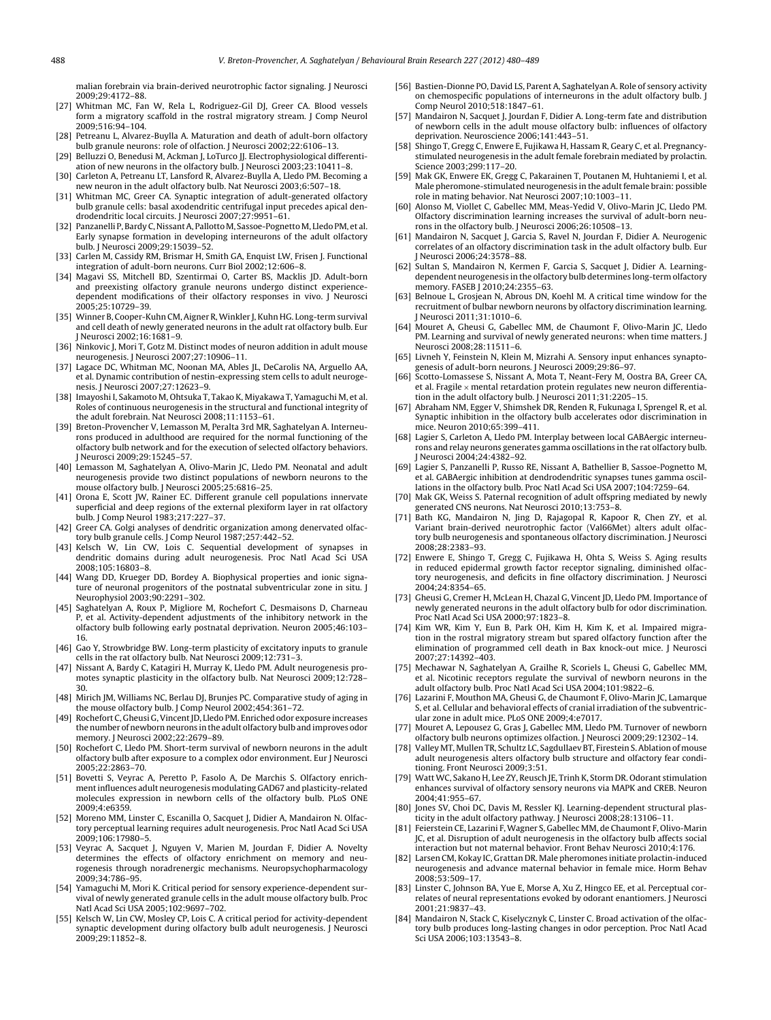<span id="page-8-0"></span>malian forebrain via brain-derived neurotrophic factor signaling. J Neurosci 2009;29:4172–88.

- [27] Whitman MC, Fan W, Rela L, Rodriguez-Gil DJ, Greer CA. Blood vessels form a migratory scaffold in the rostral migratory stream. J Comp Neurol 2009;516:94–104.
- [28] Petreanu L, Alvarez-Buylla A. Maturation and death of adult-born olfactory bulb granule neurons: role of olfaction. J Neurosci 2002;22:6106–13.
- [29] Belluzzi O, Benedusi M, Ackman J, LoTurco JJ. Electrophysiological differentiation of new neurons in the olfactory bulb. J Neurosci 2003;23:10411–8.
- [30] Carleton A, Petreanu LT, Lansford R, Alvarez-Buylla A, Lledo PM. Becoming a new neuron in the adult olfactory bulb. Nat Neurosci 2003;6:507–18.
- [31] Whitman MC, Greer CA. Synaptic integration of adult-generated olfactory bulb granule cells: basal axodendritic centrifugal input precedes apical dendrodendritic local circuits. J Neurosci 2007;27:9951–61.
- [32] Panzanelli P, Bardy C, Nissant A, Pallotto M, Sassoe-Pognetto M, Lledo PM, et al. Early synapse formation in developing interneurons of the adult olfactory bulb. J Neurosci 2009;29:15039–52.
- [33] Carlen M, Cassidy RM, Brismar H, Smith GA, Enquist LW, Frisen J. Functional integration of adult-born neurons. Curr Biol 2002;12:606–8.
- [34] Magavi SS, Mitchell BD, Szentirmai O, Carter BS, Macklis JD. Adult-born and preexisting olfactory granule neurons undergo distinct experiencedependent modifications of their olfactory responses in vivo. J Neurosci 2005;25:10729–39.
- [35] Winner B, Cooper-Kuhn CM, Aigner R,Winkler J, Kuhn HG. Long-term survival and cell death of newly generated neurons in the adult rat olfactory bulb. Eur J Neurosci 2002;16:1681–9.
- [36] Ninkovic J, Mori T, Gotz M. Distinct modes of neuron addition in adult mouse neurogenesis. J Neurosci 2007;27:10906–11.
- [37] Lagace DC, Whitman MC, Noonan MA, Ables JL, DeCarolis NA, Arguello AA, et al. Dynamic contribution of nestin-expressing stem cells to adult neurogenesis. J Neurosci 2007;27:12623–9.
- [38] Imayoshi I, Sakamoto M, Ohtsuka T, Takao K, Miyakawa T, Yamaguchi M, et al. Roles of continuous neurogenesis in the structural and functional integrity of the adult forebrain. Nat Neurosci 2008;11:1153–61.
- [39] Breton-Provencher V, Lemasson M, Peralta 3rd MR, Saghatelyan A. Interneurons produced in adulthood are required for the normal functioning of the olfactory bulb network and for the execution of selected olfactory behaviors. J Neurosci 2009;29:15245–57.
- [40] Lemasson M, Saghatelyan A, Olivo-Marin JC, Lledo PM. Neonatal and adult neurogenesis provide two distinct populations of newborn neurons to the mouse olfactory bulb. J Neurosci 2005;25:6816–25.
- [41] Orona E, Scott JW, Rainer EC. Different granule cell populations innervate superficial and deep regions of the external plexiform layer in rat olfactory bulb. J Comp Neurol 1983;217:227–37.
- [42] Greer CA. Golgi analyses of dendritic organization among denervated olfac-
- tory bulb granule cells. J Comp Neurol 1987;257:442–52. [43] Kelsch W, Lin CW, Lois C. Sequential development of synapses in dendritic domains during adult neurogenesis. Proc Natl Acad Sci USA 2008;105:16803–8.
- [44] Wang DD, Krueger DD, Bordey A. Biophysical properties and ionic signature of neuronal progenitors of the postnatal subventricular zone in situ. J Neurophysiol 2003;90:2291–302.
- [45] Saghatelyan A, Roux P, Migliore M, Rochefort C, Desmaisons D. Charneau P, et al. Activity-dependent adjustments of the inhibitory network in the olfactory bulb following early postnatal deprivation. Neuron 2005;46:103– 16.
- [46] Gao Y, Strowbridge BW. Long-term plasticity of excitatory inputs to granule cells in the rat olfactory bulb. Nat Neurosci 2009;12:731–3.
- [47] Nissant A, Bardy C, Katagiri H, Murray K, Lledo PM. Adult neurogenesis promotes synaptic plasticity in the olfactory bulb. Nat Neurosci 2009;12:728– 30.
- [48] Mirich JM, Williams NC, Berlau DJ, Brunjes PC. Comparative study of aging in the mouse olfactory bulb. J Comp Neurol 2002;454:361–72.
- [49] Rochefort C, Gheusi G, Vincent JD, Lledo PM. Enriched odor exposure increases the number of newborn neurons in the adult olfactory bulb and improves odor memory. J Neurosci 2002;22:2679–89.
- [50] Rochefort C, Lledo PM. Short-term survival of newborn neurons in the adult olfactory bulb after exposure to a complex odor environment. Eur J Neurosci 2005;22:2863–70.
- [51] Bovetti S, Veyrac A, Peretto P, Fasolo A, De Marchis S. Olfactory enrichment influences adult neurogenesis modulating GAD67 and plasticity-related molecules expression in newborn cells of the olfactory bulb. PLoS ONE 2009;4:e6359.
- [52] Moreno MM, Linster C, Escanilla O, Sacquet J, Didier A, Mandairon N. Olfactory perceptual learning requires adult neurogenesis. Proc Natl Acad Sci USA 2009;106:17980–5.
- [53] Veyrac A, Sacquet J, Nguyen V, Marien M, Jourdan F, Didier A. Novelty determines the effects of olfactory enrichment on memory and neurogenesis through noradrenergic mechanisms. Neuropsychopharmacology 2009;34:786–95.
- [54] Yamaguchi M, Mori K. Critical period for sensory experience-dependent survival of newly generated granule cells in the adult mouse olfactory bulb. Proc Natl Acad Sci USA 2005;102:9697–702.
- [55] Kelsch W, Lin CW, Mosley CP, Lois C. A critical period for activity-dependent synaptic development during olfactory bulb adult neurogenesis. J Neurosci 2009;29:11852–8.
- [56] Bastien-Dionne PO, David LS, Parent A, Saghatelyan A. Role of sensory activity on chemospecific populations of interneurons in the adult olfactory bulb. J Comp Neurol 2010;518:1847–61.
- [57] Mandairon N, Sacquet J, Jourdan F, Didier A. Long-term fate and distribution of newborn cells in the adult mouse olfactory bulb: influences of olfactory deprivation. Neuroscience 2006;141:443–51.
- [58] Shingo T, Gregg C, Enwere E, Fujikawa H, Hassam R, Geary C, et al. Pregnancystimulated neurogenesis in the adult female forebrain mediated by prolactin. Science 2003;299:117–20.
- [59] Mak GK, Enwere EK, Gregg C, Pakarainen T, Poutanen M, Huhtaniemi I, et al. Male pheromone-stimulated neurogenesis in the adult female brain: possible role in mating behavior. Nat Neurosci 2007;10:1003–11.
- [60] Alonso M, Viollet C, Gabellec MM, Meas-Yedid V, Olivo-Marin JC, Lledo PM. Olfactory discrimination learning increases the survival of adult-born neurons in the olfactory bulb. J Neurosci 2006;26:10508–13.
- [61] Mandairon N, Sacquet J, Garcia S, Ravel N, Jourdan F, Didier A. Neurogenic correlates of an olfactory discrimination task in the adult olfactory bulb. Eur J Neurosci 2006;24:3578–88.
- [62] Sultan S, Mandairon N, Kermen F, Garcia S, Sacquet J, Didier A. Learningdependent neurogenesis in the olfactory bulb determines long-term olfactory memory. FASEB J 2010;24:2355–63.
- [63] Belnoue L, Grosjean N, Abrous DN, Koehl M. A critical time window for the recruitment of bulbar newborn neurons by olfactory discrimination learning. J Neurosci 2011;31:1010–6.
- [64] Mouret A, Gheusi G, Gabellec MM, de Chaumont F, Olivo-Marin JC, Lledo PM. Learning and survival of newly generated neurons: when time matters. J Neurosci 2008;28:11511–6.
- [65] Livneh Y, Feinstein N, Klein M, Mizrahi A. Sensory input enhances synaptogenesis of adult-born neurons. J Neurosci 2009;29:86–97.
- [66] Scotto-Lomassese S, Nissant A, Mota T, Neant-Fery M, Oostra BA, Greer CA, et al. Fragile  $\times$  mental retardation protein regulates new neuron differentiation in the adult olfactory bulb. J Neurosci 2011;31:2205–15.
- [67] Abraham NM, Egger V, Shimshek DR, Renden R, Fukunaga I, Sprengel R, et al. Synaptic inhibition in the olfactory bulb accelerates odor discrimination in mice. Neuron 2010;65:399–411.
- [68] Lagier S, Carleton A, Lledo PM. Interplay between local GABAergic interneurons and relay neurons generates gamma oscillations in the rat olfactory bulb. J Neurosci 2004;24:4382–92.
- [69] Lagier S, Panzanelli P, Russo RE, Nissant A, Bathellier B, Sassoe-Pognetto M, et al. GABAergic inhibition at dendrodendritic synapses tunes gamma oscillations in the olfactory bulb. Proc Natl Acad Sci USA 2007;104:7259–64.
- [70] Mak GK, Weiss S. Paternal recognition of adult offspring mediated by newly generated CNS neurons. Nat Neurosci 2010;13:753–8.
- [71] Bath KG, Mandairon N, Jing D, Rajagopal R, Kapoor R, Chen ZY, et al. Variant brain-derived neurotrophic factor (Val66Met) alters adult olfactory bulb neurogenesis and spontaneous olfactory discrimination. J Neurosci 2008;28:2383–93.
- [72] Enwere E, Shingo T, Gregg C, Fujikawa H, Ohta S, Weiss S. Aging results in reduced epidermal growth factor receptor signaling, diminished olfactory neurogenesis, and deficits in fine olfactory discrimination. J Neurosci 2004;24:8354–65.
- [73] Gheusi G, Cremer H, McLean H, Chazal G, Vincent JD, Lledo PM. Importance of newly generated neurons in the adult olfactory bulb for odor discrimination. Proc Natl Acad Sci USA 2000;97:1823–8.
- [74] Kim WR, Kim Y, Eun B, Park OH, Kim H, Kim K, et al. Impaired migration in the rostral migratory stream but spared olfactory function after the elimination of programmed cell death in Bax knock-out mice. J Neurosci 2007;27:14392–403.
- [75] Mechawar N, Saghatelyan A, Grailhe R, Scoriels L, Gheusi G, Gabellec MM, et al. Nicotinic receptors regulate the survival of newborn neurons in the adult olfactory bulb. Proc Natl Acad Sci USA 2004;101:9822–6.
- [76] Lazarini F, Mouthon MA, Gheusi G, de Chaumont F, Olivo-Marin JC, Lamarque S, et al. Cellular and behavioral effects of cranial irradiation of the subventricular zone in adult mice. PLoS ONE 2009;4:e7017.
- [77] Mouret A, Lepousez G, Gras J, Gabellec MM, Lledo PM. Turnover of newborn olfactory bulb neurons optimizes olfaction. J Neurosci 2009;29:12302–14.
- [78] Valley MT, Mullen TR, Schultz LC, Sagdullaev BT, Firestein S. Ablation of mouse adult neurogenesis alters olfactory bulb structure and olfactory fear conditioning. Front Neurosci 2009;3:51.
- [79] Watt WC, Sakano H, Lee ZY, Reusch JE, Trinh K, Storm DR. Odorant stimulation enhances survival of olfactory sensory neurons via MAPK and CREB. Neuron 2004;41:955–67.
- [80] Jones SV, Choi DC, Davis M, Ressler KJ. Learning-dependent structural plasticity in the adult olfactory pathway. J Neurosci 2008;28:13106–11.
- [81] Feierstein CE, Lazarini F, Wagner S, Gabellec MM, de Chaumont F, Olivo-Marin JC, et al. Disruption of adult neurogenesis in the olfactory bulb affects social interaction but not maternal behavior. Front Behav Neurosci 2010;4:176.
- [82] Larsen CM, Kokay IC, Grattan DR. Male pheromones initiate prolactin-induced neurogenesis and advance maternal behavior in female mice. Horm Behav 2008;53:509–17.
- [83] Linster C, Johnson BA, Yue E, Morse A, Xu Z, Hingco EE, et al. Perceptual correlates of neural representations evoked by odorant enantiomers. J Neurosci 2001;21:9837–43.
- [84] Mandairon N, Stack C, Kiselycznyk C, Linster C. Broad activation of the olfactory bulb produces long-lasting changes in odor perception. Proc Natl Acad Sci USA 2006;103:13543–8.